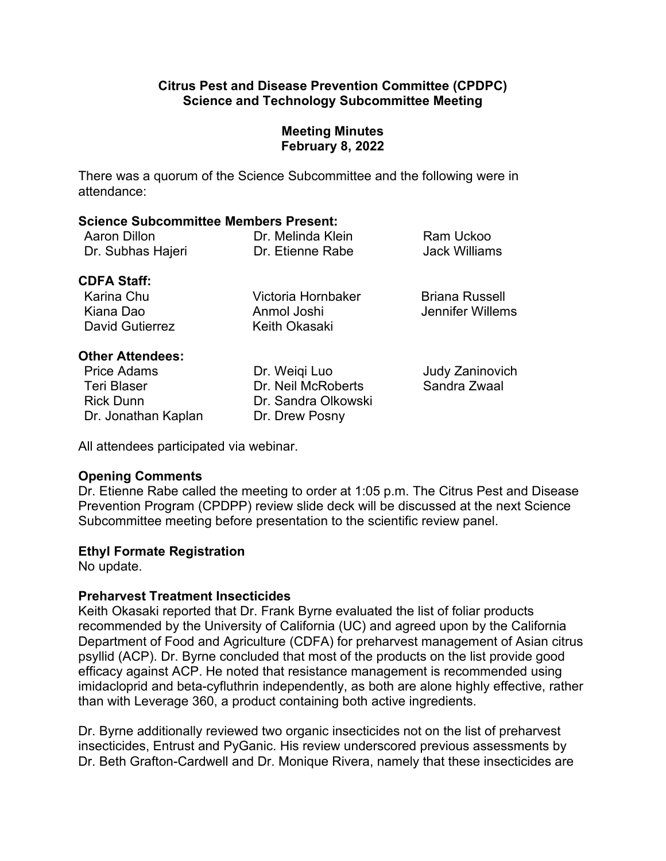#### **Citrus Pest and Disease Prevention Committee (CPDPC) Science and Technology Subcommittee Meeting**

## **Meeting Minutes February 8, 2022**

There was a quorum of the Science Subcommittee and the following were in attendance:

#### **Science Subcommittee Members Present:**

| Aaron Dillon      | Dr. Melinda Klein | Ram Uckoo     |
|-------------------|-------------------|---------------|
| Dr. Subhas Hajeri | Dr. Etienne Rabe  | Jack Williams |

### **CDFA Staff:**

Karina Chu **Micham Chu Churca Victoria Hornbaker** Briana Russell Kiana Dao **Anmol Joshi** Jennifer Willems David Gutierrez Keith Okasaki

## **Other Attendees:**

Price Adams Teri Blaser Dr. Jonathan Kaplan Dr. Drew Posny

Dr. Weiqi Luo Dr. Neil McRoberts Rick Dunn Dr. Sandra Olkowski Judy Zaninovich Sandra Zwaal

All attendees participated via webinar.

# **Opening Comments**

 Dr. Etienne Rabe called the meeting to order at 1:05 p.m. The Citrus Pest and Disease Prevention Program (CPDPP) review slide deck will be discussed at the next Science Subcommittee meeting before presentation to the scientific review panel.

# **Ethyl Formate Registration**

No update.

# **Preharvest Treatment Insecticides**

 psyllid (ACP). Dr. Byrne concluded that most of the products on the list provide good than with Leverage 360, a product containing both active ingredients. Keith Okasaki reported that Dr. Frank Byrne evaluated the list of foliar products recommended by the University of California (UC) and agreed upon by the California Department of Food and Agriculture (CDFA) for preharvest management of Asian citrus efficacy against ACP. He noted that resistance management is recommended using imidacloprid and beta-cyfluthrin independently, as both are alone highly effective, rather

than with Leverage 360, a product containing both active ingredients.<br>Dr. Byrne additionally reviewed two organic insecticides not on the list of preharvest insecticides, Entrust and PyGanic. His review underscored previous assessments by Dr. Beth Grafton-Cardwell and Dr. Monique Rivera, namely that these insecticides are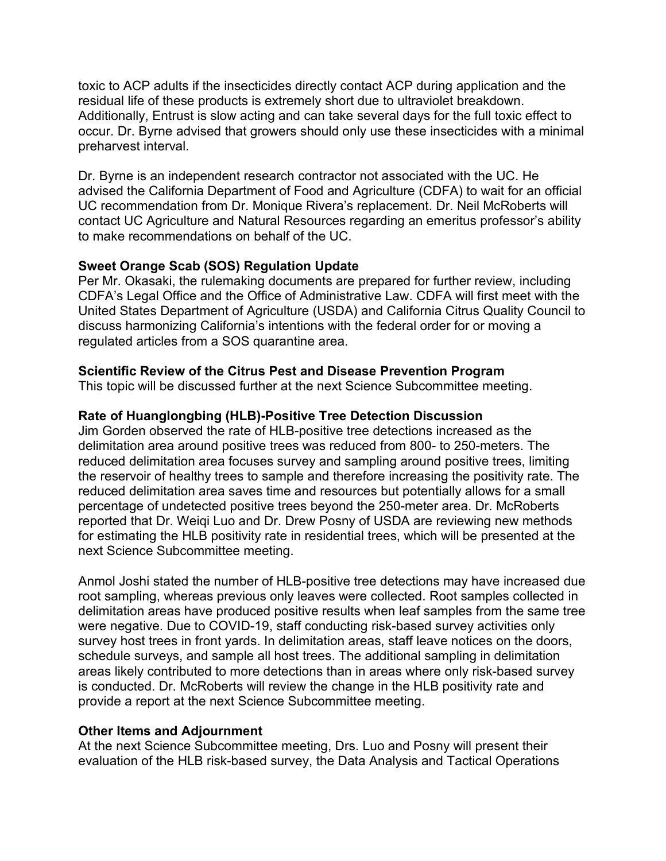toxic to ACP adults if the insecticides directly contact ACP during application and the residual life of these products is extremely short due to ultraviolet breakdown. Additionally, Entrust is slow acting and can take several days for the full toxic effect to preharvest interval. occur. Dr. Byrne advised that growers should only use these insecticides with a minimal

 to make recommendations on behalf of the UC. Dr. Byrne is an independent research contractor not associated with the UC. He advised the California Department of Food and Agriculture (CDFA) to wait for an official UC recommendation from Dr. Monique Rivera's replacement. Dr. Neil McRoberts will contact UC Agriculture and Natural Resources regarding an emeritus professor's ability

### **Sweet Orange Scab (SOS) Regulation Update**

 Per Mr. Okasaki, the rulemaking documents are prepared for further review, including CDFA's Legal Office and the Office of Administrative Law. CDFA will first meet with the United States Department of Agriculture (USDA) and California Citrus Quality Council to discuss harmonizing California's intentions with the federal order for or moving a regulated articles from a SOS quarantine area.

## **Scientific Review of the Citrus Pest and Disease Prevention Program**

This topic will be discussed further at the next Science Subcommittee meeting.

## **Rate of Huanglongbing (HLB)-Positive Tree Detection Discussion**

 reduced delimitation area saves time and resources but potentially allows for a small percentage of undetected positive trees beyond the 250-meter area. Dr. McRoberts reported that Dr. Weiqi Luo and Dr. Drew Posny of USDA are reviewing new methods Jim Gorden observed the rate of HLB-positive tree detections increased as the delimitation area around positive trees was reduced from 800- to 250-meters. The reduced delimitation area focuses survey and sampling around positive trees, limiting the reservoir of healthy trees to sample and therefore increasing the positivity rate. The for estimating the HLB positivity rate in residential trees, which will be presented at the next Science Subcommittee meeting.

 root sampling, whereas previous only leaves were collected. Root samples collected in delimitation areas have produced positive results when leaf samples from the same tree schedule surveys, and sample all host trees. The additional sampling in delimitation Anmol Joshi stated the number of HLB-positive tree detections may have increased due were negative. Due to COVID-19, staff conducting risk-based survey activities only survey host trees in front yards. In delimitation areas, staff leave notices on the doors, areas likely contributed to more detections than in areas where only risk-based survey is conducted. Dr. McRoberts will review the change in the HLB positivity rate and provide a report at the next Science Subcommittee meeting.

#### **Other Items and Adjournment**

 At the next Science Subcommittee meeting, Drs. Luo and Posny will present their evaluation of the HLB risk-based survey, the Data Analysis and Tactical Operations